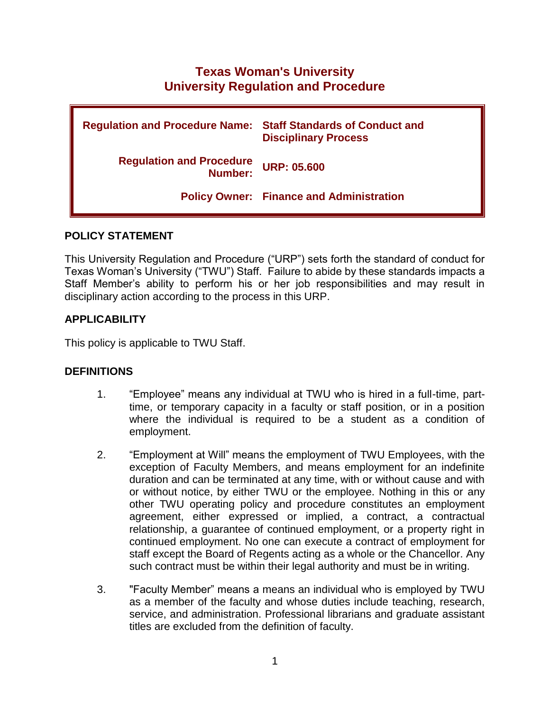# **Texas Woman's University University Regulation and Procedure**

| <b>Regulation and Procedure Name: Staff Standards of Conduct and</b> | <b>Disciplinary Process</b>                     |
|----------------------------------------------------------------------|-------------------------------------------------|
| <b>Regulation and Procedure<br/>:Number</b>                          | <b>URP: 05.600</b>                              |
|                                                                      | <b>Policy Owner: Finance and Administration</b> |

### **POLICY STATEMENT**

This University Regulation and Procedure ("URP") sets forth the standard of conduct for Texas Woman's University ("TWU") Staff. Failure to abide by these standards impacts a Staff Member's ability to perform his or her job responsibilities and may result in disciplinary action according to the process in this URP.

### **APPLICABILITY**

This policy is applicable to TWU Staff.

#### **DEFINITIONS**

- 1. "Employee" means any individual at TWU who is hired in a full-time, parttime, or temporary capacity in a faculty or staff position, or in a position where the individual is required to be a student as a condition of employment.
- 2. "Employment at Will" means the employment of TWU Employees, with the exception of Faculty Members, and means employment for an indefinite duration and can be terminated at any time, with or without cause and with or without notice, by either TWU or the employee. Nothing in this or any other TWU operating policy and procedure constitutes an employment agreement, either expressed or implied, a contract, a contractual relationship, a guarantee of continued employment, or a property right in continued employment. No one can execute a contract of employment for staff except the Board of Regents acting as a whole or the Chancellor. Any such contract must be within their legal authority and must be in writing.
- 3. "Faculty Member" means a means an individual who is employed by TWU as a member of the faculty and whose duties include teaching, research, service, and administration. Professional librarians and graduate assistant titles are excluded from the definition of faculty.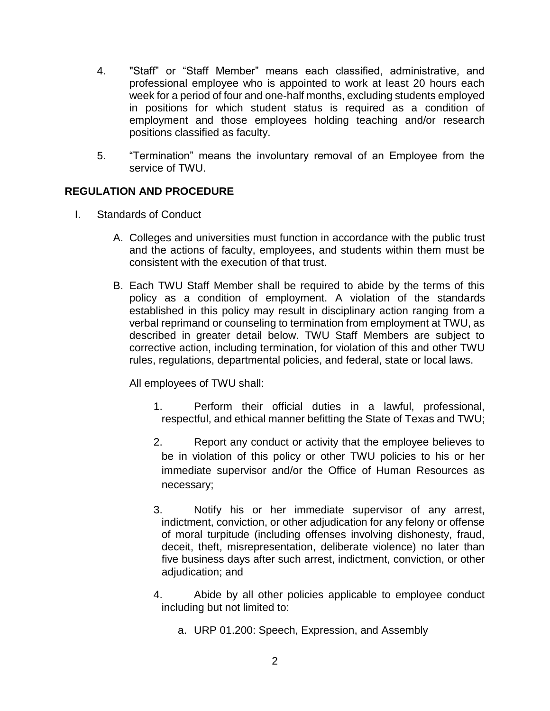- 4. "Staff" or "Staff Member" means each classified, administrative, and professional employee who is appointed to work at least 20 hours each week for a period of four and one-half months, excluding students employed in positions for which student status is required as a condition of employment and those employees holding teaching and/or research positions classified as faculty.
- 5. "Termination" means the involuntary removal of an Employee from the service of TWU.

# **REGULATION AND PROCEDURE**

- I. Standards of Conduct
	- A. Colleges and universities must function in accordance with the public trust and the actions of faculty, employees, and students within them must be consistent with the execution of that trust.
	- B. Each TWU Staff Member shall be required to abide by the terms of this policy as a condition of employment. A violation of the standards established in this policy may result in disciplinary action ranging from a verbal reprimand or counseling to termination from employment at TWU, as described in greater detail below. TWU Staff Members are subject to corrective action, including termination, for violation of this and other TWU rules, regulations, departmental policies, and federal, state or local laws.

All employees of TWU shall:

- 1. Perform their official duties in a lawful, professional, respectful, and ethical manner befitting the State of Texas and TWU;
- 2. Report any conduct or activity that the employee believes to be in violation of this policy or other TWU policies to his or her immediate supervisor and/or the Office of Human Resources as necessary;
- 3. Notify his or her immediate supervisor of any arrest, indictment, conviction, or other adjudication for any felony or offense of moral turpitude (including offenses involving dishonesty, fraud, deceit, theft, misrepresentation, deliberate violence) no later than five business days after such arrest, indictment, conviction, or other adjudication; and
- 4. Abide by all other policies applicable to employee conduct including but not limited to:
	- a. URP 01.200: Speech, Expression, and Assembly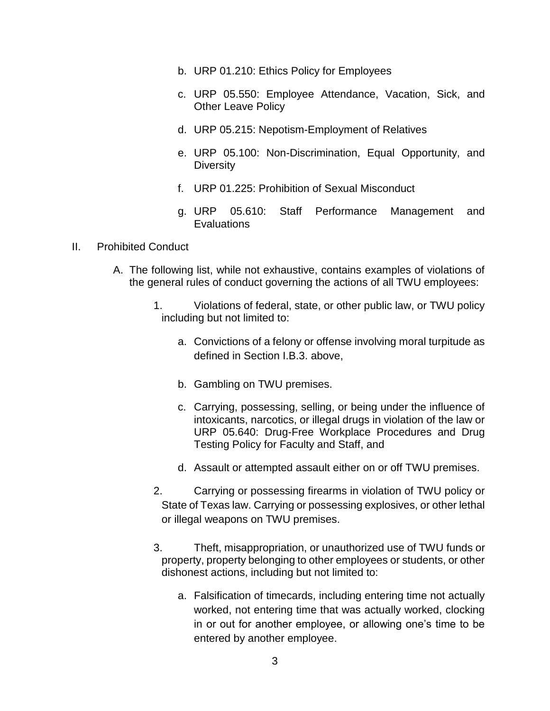- b. URP 01.210: Ethics Policy for Employees
- c. URP 05.550: Employee Attendance, Vacation, Sick, and Other Leave Policy
- d. URP 05.215: Nepotism-Employment of Relatives
- e. URP 05.100: Non-Discrimination, Equal Opportunity, and **Diversity**
- f. URP 01.225: Prohibition of Sexual Misconduct
- g. URP 05.610: Staff Performance Management and **Evaluations**

#### II. Prohibited Conduct

- A. The following list, while not exhaustive, contains examples of violations of the general rules of conduct governing the actions of all TWU employees:
	- 1. Violations of federal, state, or other public law, or TWU policy including but not limited to:
		- a. Convictions of a felony or offense involving moral turpitude as defined in Section I.B.3. above,
		- b. Gambling on TWU premises.
		- c. Carrying, possessing, selling, or being under the influence of intoxicants, narcotics, or illegal drugs in violation of the law or URP 05.640: Drug-Free Workplace Procedures and Drug Testing Policy for Faculty and Staff, and
		- d. Assault or attempted assault either on or off TWU premises.
	- 2. Carrying or possessing firearms in violation of TWU policy or State of Texas law. Carrying or possessing explosives, or other lethal or illegal weapons on TWU premises.
	- 3. Theft, misappropriation, or unauthorized use of TWU funds or property, property belonging to other employees or students, or other dishonest actions, including but not limited to:
		- a. Falsification of timecards, including entering time not actually worked, not entering time that was actually worked, clocking in or out for another employee, or allowing one's time to be entered by another employee.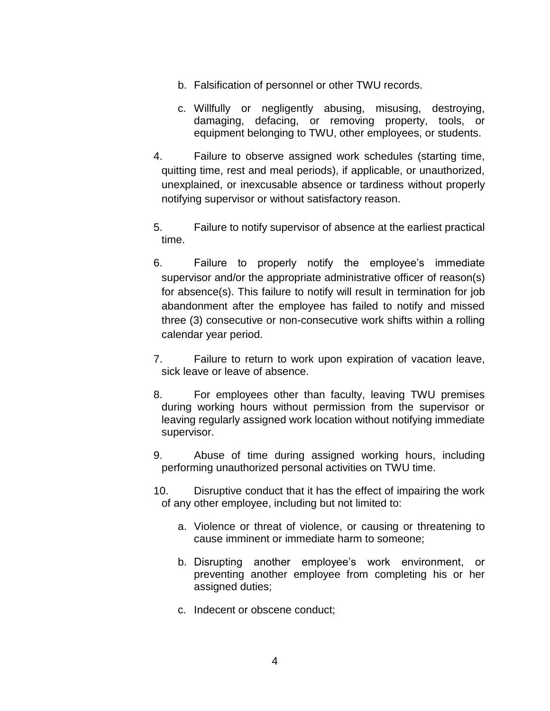- b. Falsification of personnel or other TWU records.
- c. Willfully or negligently abusing, misusing, destroying, damaging, defacing, or removing property, tools, or equipment belonging to TWU, other employees, or students.
- 4. Failure to observe assigned work schedules (starting time, quitting time, rest and meal periods), if applicable, or unauthorized, unexplained, or inexcusable absence or tardiness without properly notifying supervisor or without satisfactory reason.
- 5. Failure to notify supervisor of absence at the earliest practical time.
- 6. Failure to properly notify the employee's immediate supervisor and/or the appropriate administrative officer of reason(s) for absence(s). This failure to notify will result in termination for job abandonment after the employee has failed to notify and missed three (3) consecutive or non-consecutive work shifts within a rolling calendar year period.
- 7. Failure to return to work upon expiration of vacation leave, sick leave or leave of absence.
- 8. For employees other than faculty, leaving TWU premises during working hours without permission from the supervisor or leaving regularly assigned work location without notifying immediate supervisor.
- 9. Abuse of time during assigned working hours, including performing unauthorized personal activities on TWU time.
- 10. Disruptive conduct that it has the effect of impairing the work of any other employee, including but not limited to:
	- a. Violence or threat of violence, or causing or threatening to cause imminent or immediate harm to someone;
	- b. Disrupting another employee's work environment, or preventing another employee from completing his or her assigned duties;
	- c. Indecent or obscene conduct;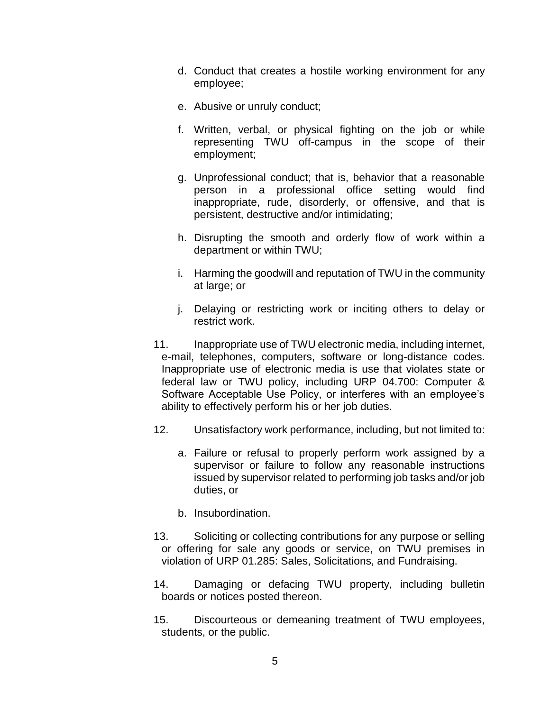- d. Conduct that creates a hostile working environment for any employee;
- e. Abusive or unruly conduct;
- f. Written, verbal, or physical fighting on the job or while representing TWU off-campus in the scope of their employment;
- g. Unprofessional conduct; that is, behavior that a reasonable person in a professional office setting would find inappropriate, rude, disorderly, or offensive, and that is persistent, destructive and/or intimidating;
- h. Disrupting the smooth and orderly flow of work within a department or within TWU;
- i. Harming the goodwill and reputation of TWU in the community at large; or
- j. Delaying or restricting work or inciting others to delay or restrict work.
- 11. Inappropriate use of TWU electronic media, including internet, e-mail, telephones, computers, software or long-distance codes. Inappropriate use of electronic media is use that violates state or federal law or TWU policy, including URP 04.700: Computer & Software Acceptable Use Policy, or interferes with an employee's ability to effectively perform his or her job duties.
- 12. Unsatisfactory work performance, including, but not limited to:
	- a. Failure or refusal to properly perform work assigned by a supervisor or failure to follow any reasonable instructions issued by supervisor related to performing job tasks and/or job duties, or
	- b. Insubordination.
- 13. Soliciting or collecting contributions for any purpose or selling or offering for sale any goods or service, on TWU premises in violation of URP 01.285: Sales, Solicitations, and Fundraising.
- 14. Damaging or defacing TWU property, including bulletin boards or notices posted thereon.
- 15. Discourteous or demeaning treatment of TWU employees, students, or the public.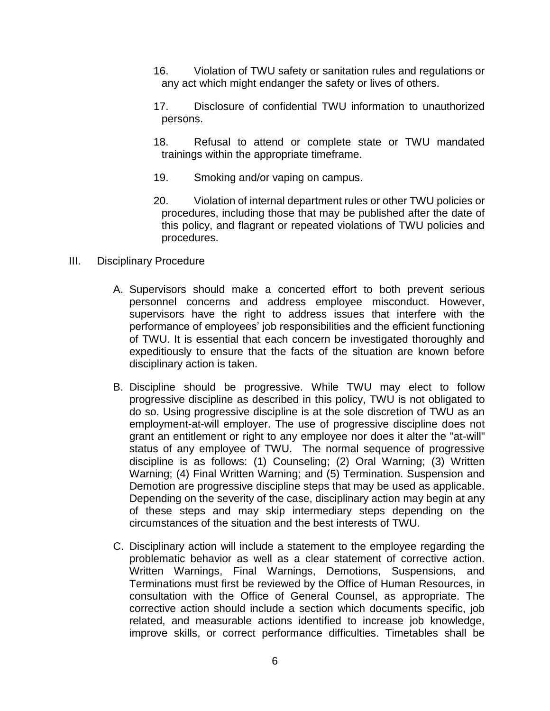- 16. Violation of TWU safety or sanitation rules and regulations or any act which might endanger the safety or lives of others.
- 17. Disclosure of confidential TWU information to unauthorized persons.
- 18. Refusal to attend or complete state or TWU mandated trainings within the appropriate timeframe.
- 19. Smoking and/or vaping on campus.
- 20. Violation of internal department rules or other TWU policies or procedures, including those that may be published after the date of this policy, and flagrant or repeated violations of TWU policies and procedures.
- III. Disciplinary Procedure
	- A. Supervisors should make a concerted effort to both prevent serious personnel concerns and address employee misconduct. However, supervisors have the right to address issues that interfere with the performance of employees' job responsibilities and the efficient functioning of TWU. It is essential that each concern be investigated thoroughly and expeditiously to ensure that the facts of the situation are known before disciplinary action is taken.
	- B. Discipline should be progressive. While TWU may elect to follow progressive discipline as described in this policy, TWU is not obligated to do so. Using progressive discipline is at the sole discretion of TWU as an employment-at-will employer. The use of progressive discipline does not grant an entitlement or right to any employee nor does it alter the "at-will" status of any employee of TWU. The normal sequence of progressive discipline is as follows: (1) Counseling; (2) Oral Warning; (3) Written Warning; (4) Final Written Warning; and (5) Termination. Suspension and Demotion are progressive discipline steps that may be used as applicable. Depending on the severity of the case, disciplinary action may begin at any of these steps and may skip intermediary steps depending on the circumstances of the situation and the best interests of TWU.
	- C. Disciplinary action will include a statement to the employee regarding the problematic behavior as well as a clear statement of corrective action. Written Warnings, Final Warnings, Demotions, Suspensions, and Terminations must first be reviewed by the Office of Human Resources, in consultation with the Office of General Counsel, as appropriate. The corrective action should include a section which documents specific, job related, and measurable actions identified to increase job knowledge, improve skills, or correct performance difficulties. Timetables shall be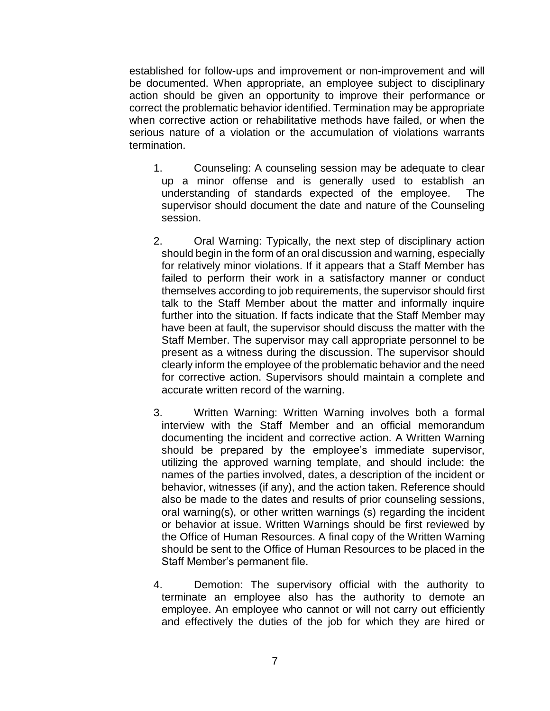established for follow-ups and improvement or non-improvement and will be documented. When appropriate, an employee subject to disciplinary action should be given an opportunity to improve their performance or correct the problematic behavior identified. Termination may be appropriate when corrective action or rehabilitative methods have failed, or when the serious nature of a violation or the accumulation of violations warrants termination.

- 1. Counseling: A counseling session may be adequate to clear up a minor offense and is generally used to establish an understanding of standards expected of the employee. The supervisor should document the date and nature of the Counseling session.
- 2. Oral Warning: Typically, the next step of disciplinary action should begin in the form of an oral discussion and warning, especially for relatively minor violations. If it appears that a Staff Member has failed to perform their work in a satisfactory manner or conduct themselves according to job requirements, the supervisor should first talk to the Staff Member about the matter and informally inquire further into the situation. If facts indicate that the Staff Member may have been at fault, the supervisor should discuss the matter with the Staff Member. The supervisor may call appropriate personnel to be present as a witness during the discussion. The supervisor should clearly inform the employee of the problematic behavior and the need for corrective action. Supervisors should maintain a complete and accurate written record of the warning.
- 3. Written Warning: Written Warning involves both a formal interview with the Staff Member and an official memorandum documenting the incident and corrective action. A Written Warning should be prepared by the employee's immediate supervisor, utilizing the approved warning template, and should include: the names of the parties involved, dates, a description of the incident or behavior, witnesses (if any), and the action taken. Reference should also be made to the dates and results of prior counseling sessions, oral warning(s), or other written warnings (s) regarding the incident or behavior at issue. Written Warnings should be first reviewed by the Office of Human Resources. A final copy of the Written Warning should be sent to the Office of Human Resources to be placed in the Staff Member's permanent file.
- 4. Demotion: The supervisory official with the authority to terminate an employee also has the authority to demote an employee. An employee who cannot or will not carry out efficiently and effectively the duties of the job for which they are hired or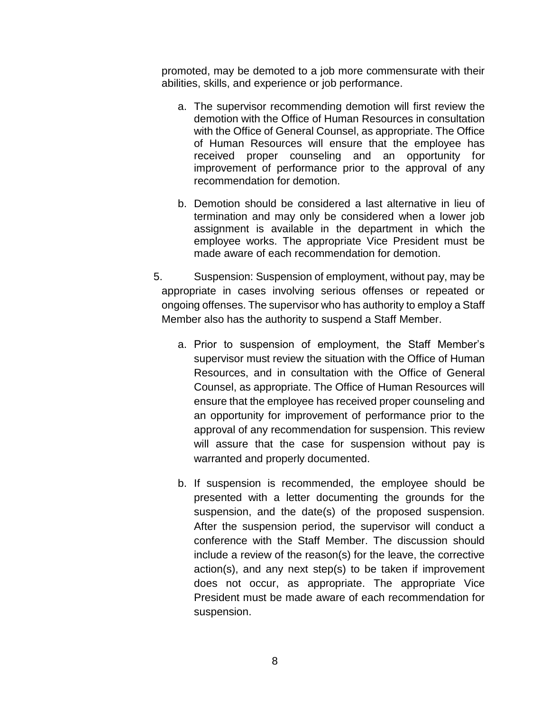promoted, may be demoted to a job more commensurate with their abilities, skills, and experience or job performance.

- a. The supervisor recommending demotion will first review the demotion with the Office of Human Resources in consultation with the Office of General Counsel, as appropriate. The Office of Human Resources will ensure that the employee has received proper counseling and an opportunity for improvement of performance prior to the approval of any recommendation for demotion.
- b. Demotion should be considered a last alternative in lieu of termination and may only be considered when a lower job assignment is available in the department in which the employee works. The appropriate Vice President must be made aware of each recommendation for demotion.
- 5. Suspension: Suspension of employment, without pay, may be appropriate in cases involving serious offenses or repeated or ongoing offenses. The supervisor who has authority to employ a Staff Member also has the authority to suspend a Staff Member.
	- a. Prior to suspension of employment, the Staff Member's supervisor must review the situation with the Office of Human Resources, and in consultation with the Office of General Counsel, as appropriate. The Office of Human Resources will ensure that the employee has received proper counseling and an opportunity for improvement of performance prior to the approval of any recommendation for suspension. This review will assure that the case for suspension without pay is warranted and properly documented.
	- b. If suspension is recommended, the employee should be presented with a letter documenting the grounds for the suspension, and the date(s) of the proposed suspension. After the suspension period, the supervisor will conduct a conference with the Staff Member. The discussion should include a review of the reason(s) for the leave, the corrective action(s), and any next step(s) to be taken if improvement does not occur, as appropriate. The appropriate Vice President must be made aware of each recommendation for suspension.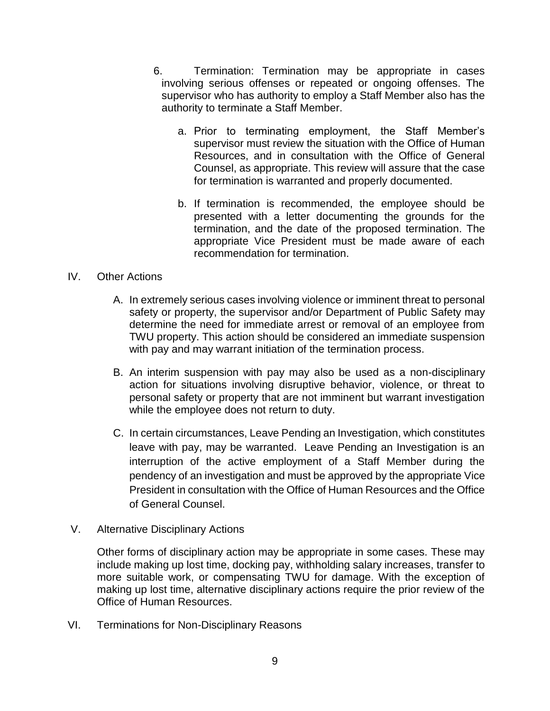- 6. Termination: Termination may be appropriate in cases involving serious offenses or repeated or ongoing offenses. The supervisor who has authority to employ a Staff Member also has the authority to terminate a Staff Member.
	- a. Prior to terminating employment, the Staff Member's supervisor must review the situation with the Office of Human Resources, and in consultation with the Office of General Counsel, as appropriate. This review will assure that the case for termination is warranted and properly documented.
	- b. If termination is recommended, the employee should be presented with a letter documenting the grounds for the termination, and the date of the proposed termination. The appropriate Vice President must be made aware of each recommendation for termination.

### IV. Other Actions

- A. In extremely serious cases involving violence or imminent threat to personal safety or property, the supervisor and/or Department of Public Safety may determine the need for immediate arrest or removal of an employee from TWU property. This action should be considered an immediate suspension with pay and may warrant initiation of the termination process.
- B. An interim suspension with pay may also be used as a non-disciplinary action for situations involving disruptive behavior, violence, or threat to personal safety or property that are not imminent but warrant investigation while the employee does not return to duty.
- C. In certain circumstances, Leave Pending an Investigation, which constitutes leave with pay, may be warranted. Leave Pending an Investigation is an interruption of the active employment of a Staff Member during the pendency of an investigation and must be approved by the appropriate Vice President in consultation with the Office of Human Resources and the Office of General Counsel.
- V. Alternative Disciplinary Actions

Other forms of disciplinary action may be appropriate in some cases. These may include making up lost time, docking pay, withholding salary increases, transfer to more suitable work, or compensating TWU for damage. With the exception of making up lost time, alternative disciplinary actions require the prior review of the Office of Human Resources.

VI. Terminations for Non-Disciplinary Reasons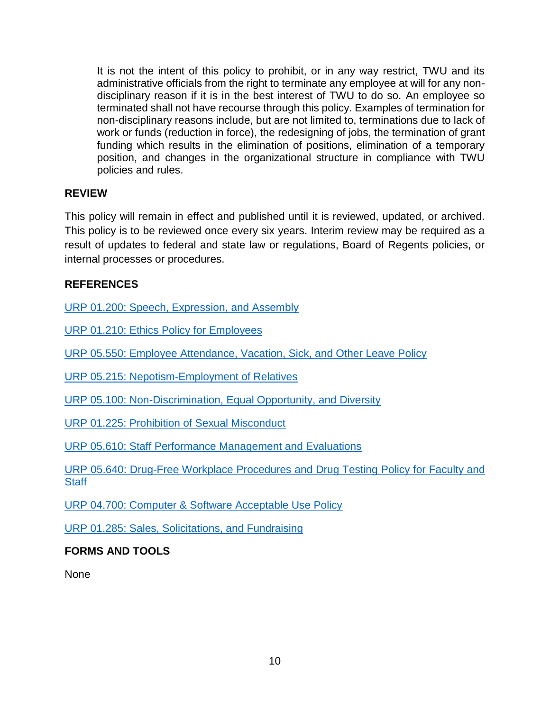It is not the intent of this policy to prohibit, or in any way restrict, TWU and its administrative officials from the right to terminate any employee at will for any nondisciplinary reason if it is in the best interest of TWU to do so. An employee so terminated shall not have recourse through this policy. Examples of termination for non-disciplinary reasons include, but are not limited to, terminations due to lack of work or funds (reduction in force), the redesigning of jobs, the termination of grant funding which results in the elimination of positions, elimination of a temporary position, and changes in the organizational structure in compliance with TWU policies and rules.

# **REVIEW**

This policy will remain in effect and published until it is reviewed, updated, or archived. This policy is to be reviewed once every six years. Interim review may be required as a result of updates to federal and state law or regulations, Board of Regents policies, or internal processes or procedures.

# **REFERENCES**

[URP 01.200: Speech, Expression, and Assembly](https://www.powerdms.com/public/TWU1/documents/1745744)

[URP 01.210: Ethics Policy for Employees](https://www.powerdms.com/public/TWU1/documents/1745849)

[URP 05.550: Employee Attendance, Vacation, Sick, and Other Leave Policy](https://www.powerdms.com/public/TWU1/documents/1745845)

[URP 05.215: Nepotism-Employment of Relatives](https://www.powerdms.com/public/TWU1/documents/1745843)

[URP 05.100: Non-Discrimination, Equal Opportunity, and Diversity](https://www.powerdms.com/public/TWU1/documents/1745851)

[URP 01.225: Prohibition of Sexual Misconduct](https://www.powerdms.com/public/TWU1/documents/1745730)

[URP 05.610: Staff Performance Management and Evaluations](https://www.powerdms.com/public/TWU1/documents/1745850)

[URP 05.640: Drug-Free Workplace Procedures and Drug Testing](https://www.powerdms.com/public/TWU1/documents/1745840) Policy for Faculty and **[Staff](https://www.powerdms.com/public/TWU1/documents/1745840)** 

[URP 04.700: Computer & Software Acceptable Use Policy](https://www.powerdms.com/public/TWU1/documents/1745836)

[URP 01.285: Sales, Solicitations, and Fundraising](https://www.powerdms.com/public/TWU1/documents/1745684)

# **FORMS AND TOOLS**

None